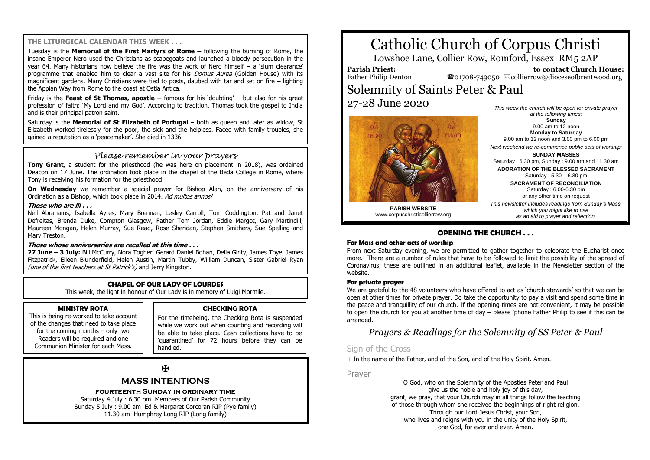#### **THE LITURGICAL CALENDAR THIS WEEK . . .**

Tuesday is the **Memorial of the First Martyrs of Rome –** following the burning of Rome, the insane Emperor Nero used the Christians as scapegoats and launched a bloody persecution in the year 64. Many historians now believe the fire was the work of Nero himself – a 'slum clearance' programme that enabled him to clear a vast site for his *Domus Aurea* (Golden House) with its magnificent gardens. Many Christians were tied to posts, daubed with tar and set on fire – lighting the Appian Way from Rome to the coast at Ostia Antica.

Friday is the **Feast of St Thomas, apostle –** famous for his 'doubting' – but also for his great profession of faith: 'My Lord and my God'. According to tradition, Thomas took the gospel to India and is their principal patron saint.

Saturday is the **Memorial of St Elizabeth of Portugal** – both as queen and later as widow, St Elizabeth worked tirelessly for the poor, the sick and the helpless. Faced with family troubles, she gained a reputation as a 'peacemaker'. She died in 1336.

## *Please remember in your prayers*

**Tony Grant,** a student for the priesthood (he was here on placement in 2018), was ordained Deacon on 17 June. The ordination took place in the chapel of the Beda College in Rome, where Tony is receiving his formation for the priesthood.

**On Wednesday** we remember a special prayer for Bishop Alan, on the anniversary of his Ordination as a Bishop, which took place in 2014. Ad multos annos!

#### **Those who are ill . . .**

Neil Abrahams, Isabella Ayres, Mary Brennan, Lesley Carroll, Tom Coddington, Pat and Janet Defreitas, Brenda Duke, Compton Glasgow, Father Tom Jordan, Eddie Margot, Gary Martindill, Maureen Mongan, Helen Murray, Sue Read, Rose Sheridan, Stephen Smithers, Sue Spelling and Mary Treston.

#### **Those whose anniversaries are recalled at this time . . .**

**27 June – 3 July:** Bill McCurry, Nora Togher, Gerard Daniel Bohan, Delia Ginty, James Toye, James Fitzpatrick, Eileen Blunderfield, Helen Austin, Martin Tubby, William Duncan, Sister Gabriel Ryan (one of the first teachers at St Patrick's) and Jerry Kingston.

#### **CHAPEL OF OUR LADY OF LOURDES**

This week, the light in honour of Our Lady is in memory of Luigi Mormile.

#### **MINISTRY ROTA**

This is being re-worked to take account of the changes that need to take place for the coming months – only two Readers will be required and one Communion Minister for each Mass.

#### **CHECKING ROTA**

For the timebeing, the Checking Rota is suspended while we work out when counting and recording will be able to take place. Cash collections have to be 'quarantined' for 72 hours before they can be handled.

## $\mathbf F$

## **MASS INTENTIONS**

## **fourteenth Sunday in ordinary time**

Saturday 4 July : 6.30 pm Members of Our Parish Community Sunday 5 July : 9.00 am Ed & Margaret Corcoran RIP (Pye family) 11.30 am Humphrey Long RIP (Long family)

# Catholic Church of Corpus Christi

Lowshoe Lane, Collier Row, Romford, Essex RM5 2AP

**Parish Priest:** Father Philip Denton

 **to contact Church House:**  $\bullet$ 01708-749050  $\boxtimes$ collierrow@dioceseofbrentwood.org

## Solemnity of Saints Peter & Paul 27-28 June 2020



*This week the church will be open for private prayer at the following times:* **Sunday** 9.00 am to 12 noon **Monday to Saturday** 9.00 am to 12 noon and 3.00 pm to 6.00 pm *Next weekend we re-commence public acts of worship:* **SUNDAY MASSES** Saturday : 6.30 pm, Sunday : 9.00 am and 11.30 am **ADORATION OF THE BLESSED SACRAMENT** Saturday : 5.30 – 6.30 pm **SACRAMENT OF RECONCILIATION** Saturday : 6.00-6.30 pm or any other time on request *This newsletter includes readings from Sunday's Mass,*

> *which you might like to use as an aid to prayer and reflection.*

**PARISH WEBSITE** www.corpuschristicollierrow.org

## **OPENING THE CHURCH . . .**

#### **For Mass and other acts of worship**

From next Saturday evening, we are permitted to gather together to celebrate the Eucharist once more. There are a number of rules that have to be followed to limit the possibility of the spread of Coronavirus; these are outlined in an additional leaflet, available in the Newsletter section of the website.

#### **For private prayer**

We are grateful to the 48 volunteers who have offered to act as 'church stewards' so that we can be open at other times for private prayer. Do take the opportunity to pay a visit and spend some time in the peace and tranquillity of our church. If the opening times are not convenient, it may be possible to open the church for you at another time of day – please 'phone Father Philip to see if this can be arranged.

## *Prayers & Readings for the Solemnity of SS Peter & Paul*

## Sign of the Cross

+ In the name of the Father, and of the Son, and of the Holy Spirit. Amen.

Prayer

O God, who on the Solemnity of the Apostles Peter and Paul give us the noble and holy joy of this day, grant, we pray, that your Church may in all things follow the teaching of those through whom she received the beginnings of right religion. Through our Lord Jesus Christ, your Son, who lives and reigns with you in the unity of the Holy Spirit, one God, for ever and ever. Amen.